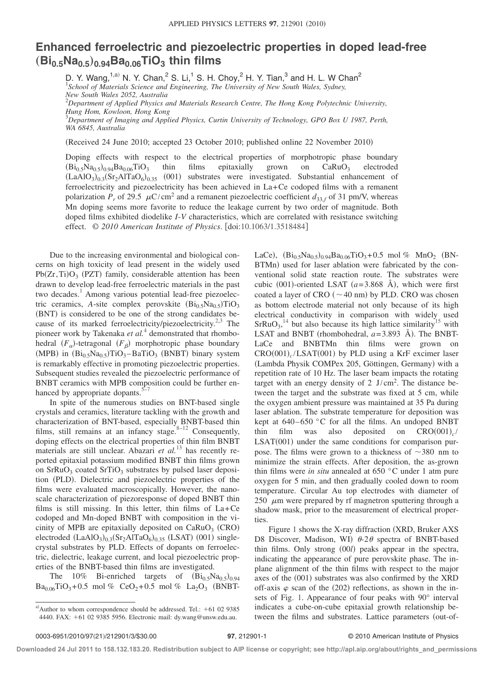## **Enhanced ferroelectric and piezoelectric properties in doped lead-free**  $(Bi<sub>0.5</sub>Na<sub>0.5</sub>)<sub>0.94</sub>Ba<sub>0.06</sub>TiO<sub>3</sub>$  thin films

D. Y. Wang,<sup>1,a)</sup> N. Y. Chan,<sup>2</sup> S. Li,<sup>1</sup> S. H. Choy,<sup>2</sup> H. Y. Tian,<sup>3</sup> and H. L. W Chan<sup>2</sup> *School of Materials Science and Engineering, The University of New South Wales, Sydney, New South Wales 2052, Australia* 2 *Department of Applied Physics and Materials Research Centre, The Hong Kong Polytechnic University, Hung Hom, Kowloon, Hong Kong*

3 *Department of Imaging and Applied Physics, Curtin University of Technology, GPO Box U 1987, Perth, WA 6845, Australia*

(Received 24 June 2010; accepted 23 October 2010; published online 22 November 2010)

Doping effects with respect to the electrical properties of morphotropic phase boundary  $(Bi_{0.5}Na_{0.5})_{0.94}Ba_{0.06}TiO_3$  thin films epitaxially grown on CaRuO<sub>3</sub> electroded  $(LaAIO<sub>3</sub>)<sub>0.3</sub>(Sr<sub>2</sub>AlTaO<sub>6</sub>)<sub>0.35</sub>$  (001) substrates were investigated. Substantial enhancement of ferroelectricity and piezoelectricity has been achieved in La+Ce codoped films with a remanent polarization  $P_r$  of 29.5  $\mu$ C/cm<sup>2</sup> and a remanent piezoelectric coefficient  $d_{33,f}$  of 31 pm/V, whereas Mn doping seems more favorite to reduce the leakage current by two order of magnitude. Both doped films exhibited diodelike *I*-*V* characteristics, which are correlated with resistance switching effect. © *2010 American Institute of Physics*. doi:10.1063/1.3518484

Due to the increasing environmental and biological concerns on high toxicity of lead present in the widely used  $Pb(Zr, Ti)O<sub>3</sub>$  (PZT) family, considerable attention has been drawn to develop lead-free ferroelectric materials in the past two decades.<sup>1</sup> Among various potential lead-free piezoelectric ceramics, *A*-site complex perovskite  $(Bi_{0.5}Na_{0.5})TiO_3$ (BNT) is considered to be one of the strong candidates because of its marked ferroelectricity/piezoelectricity.<sup>2,3</sup> The pioneer work by Takenaka *et al.*<sup>4</sup> demonstrated that rhombohedral  $(F_\alpha)$ -tetragonal  $(F_\beta)$  morphotropic phase boundary  $(MPB)$  in  $(Bi<sub>0.5</sub>Na<sub>0.5</sub>)TiO<sub>3</sub> – BaTiO<sub>3</sub> (BNBT) binary system$ is remarkably effective in promoting piezoelectric properties. Subsequent studies revealed the piezoelectric performance of BNBT ceramics with MPB composition could be further enhanced by appropriate dopants.<sup>5</sup>

In spite of the numerous studies on BNT-based single crystals and ceramics, literature tackling with the growth and characterization of BNT-based, especially BNBT-based thin films, still remains at an infancy stage. $8-12$  Consequently, doping effects on the electrical properties of thin film BNBT materials are still unclear. Abazari *et al.*<sup>13</sup> has recently reported epitaxial potassium modified BNBT thin films grown on  $SrRuO<sub>3</sub>$  coated  $SrTiO<sub>3</sub>$  substrates by pulsed laser deposition (PLD). Dielectric and piezoelectric properties of the films were evaluated macroscopically. However, the nanoscale characterization of piezoresponse of doped BNBT thin films is still missing. In this letter, thin films of La+Ce codoped and Mn-doped BNBT with composition in the vicinity of MPB are epitaxially deposited on  $CaRuO<sub>3</sub>$  (CRO) electroded  $(LaAlO<sub>3</sub>)<sub>0.3</sub>(Sr<sub>2</sub>AlTaO<sub>6</sub>)<sub>0.35</sub> (LSAT)$  (001) singlecrystal substrates by PLD. Effects of dopants on ferroelectric, dielectric, leakage current, and local piezoelectric properties of the BNBT-based thin films are investigated.

The 10% Bi-enriched targets of  $(Bi_{0.5}Na_{0.5})_{0.94}$  $Ba_{0.06}TiO_3 + 0.5 \text{ mol } \% \text{ CeO}_2 + 0.5 \text{ mol } \% \text{ La}_2O_3 \text{ (BNBT-}$  BTMn) used for laser ablation were fabricated by the conventional solid state reaction route. The substrates were cubic  $(001)$ -oriented LSAT  $(a=3.868 \text{ Å})$ , which were first coated a layer of CRO  $({\sim}40 \text{ nm})$  by PLD. CRO was chosen as bottom electrode material not only because of its high electrical conductivity in comparison with widely used  $SrRuO<sub>3</sub>$ <sup>14</sup> but also because its high lattice similarity<sup>15</sup> with LSAT and BNBT (rhombohedral,  $a = 3.893$  Å). The BNBT-LaCe and BNBTMn thin films were grown on  $CRO(001)$ <sub>c</sub>/LSAT(001) by PLD using a KrF excimer laser (Lambda Physik COMPex 205, Göttingen, Germany) with a repetition rate of 10 Hz. The laser beam impacts the rotating target with an energy density of  $2$  J/cm<sup>2</sup>. The distance between the target and the substrate was fixed at 5 cm, while the oxygen ambient pressure was maintained at 35 Pa during laser ablation. The substrate temperature for deposition was kept at  $640-650$  °C for all the films. An undoped BNBT thin film was also deposited on  $CRO(001)_{c}$  $LSAT(001)$  under the same conditions for comparison purpose. The films were grown to a thickness of  $\sim$ 380 nm to minimize the strain effects. After deposition, the as-grown thin films were *in situ* annealed at 650 °C under 1 atm pure oxygen for 5 min, and then gradually cooled down to room temperature. Circular Au top electrodes with diameter of 250  $\mu$ m were prepared by rf magnetron sputtering through a shadow mask, prior to the measurement of electrical properties.

LaCe),  $(Bi_{0.5}Na_{0.5})_{0.94}Ba_{0.06}TiO_3 + 0.5 \text{ mol } %$  MnO<sub>2</sub> (BN-

Figure 1 shows the X-ray diffraction (XRD, Bruker AXS D8 Discover, Madison, WI)  $\theta$ -2 $\theta$  spectra of BNBT-based thin films. Only strong (00*l*) peaks appear in the spectra, indicating the appearance of pure perovskite phase. The inplane alignment of the thin films with respect to the major axes of the (001) substrates was also confirmed by the XRD off-axis  $\varphi$  scan of the (202) reflections, as shown in the insets of Fig. 1. Appearance of four peaks with 90° interval indicates a cube-on-cube epitaxial growth relationship between the films and substrates. Lattice parameters (out-of-

**Downloaded 24 Jul 2011 to 158.132.183.20. Redistribution subject to AIP license or copyright; see http://apl.aip.org/about/rights\_and\_permissions**

a) Author to whom correspondence should be addressed. Tel.:  $+61$  02 9385 4440. FAX: +61 02 9385 5956. Electronic mail: dy.wang@unsw.edu.au.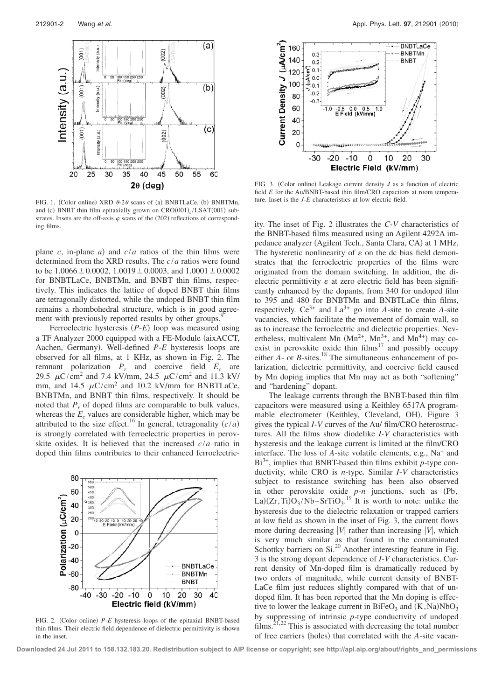

FIG. 1. (Color online) XRD  $\theta$ -2 $\theta$  scans of (a) BNBTLaCe, (b) BNBTMn, and (c) BNBT thin film epitaxially grown on  $CRO(001)_{c}/LSAT(001)$  substrates. Insets are the off-axis  $\varphi$  scans of the (202) reflections of corresponding films.

plane *c*, in-plane *a*) and  $c/a$  ratios of the thin films were determined from the XRD results. The *c*/*a* ratios were found to be  $1.0066 \pm 0.0002$ ,  $1.0019 \pm 0.0003$ , and  $1.0001 \pm 0.0002$ for BNBTLaCe, BNBTMn, and BNBT thin films, respectively. This indicates the lattice of doped BNBT thin films are tetragonally distorted, while the undoped BNBT thin film remains a rhombohedral structure, which is in good agreement with previously reported results by other groups.<sup>9</sup>

Ferroelectric hysteresis (P-*E*) loop was measured using a TF Analyzer 2000 equipped with a FE-Module (aixACCT, Aachen, Germany. Well-defined *P*-*E* hysteresis loops are observed for all films, at 1 KHz, as shown in Fig. 2. The remnant polarization  $P_r$  and coercive field  $E_c$  are 29.5  $\mu$ C/cm<sup>2</sup> and 7.4 kV/mm, 24.5  $\mu$ C/cm<sup>2</sup> and 11.3 kV/ mm, and 14.5  $\mu$ C/cm<sup>2</sup> and 10.2 kV/mm for BNBTLaCe, BNBTMn, and BNBT thin films, respectively. It should be noted that  $P_r$  of doped films are comparable to bulk values, whereas the  $E_c$  values are considerable higher, which may be attributed to the size effect.<sup>16</sup> In general, tetragonality  $\left(\frac{c}{a}\right)$ is strongly correlated with ferroelectric properties in perovskite oxides. It is believed that the increased *c*/*a* ratio in doped thin films contributes to their enhanced ferroelectric-



FIG. 2. (Color online) P-*E* hysteresis loops of the epitaxial BNBT-based thin films. Their electric field dependence of dielectric permittivity is shown in the inset.



FIG. 3. (Color online) Leakage current density  $J$  as a function of electric field *E* for the Au/BNBT-based thin film/CRO capacitors at room temperature. Inset is the *J*-*E* characteristics at low electric field.

ity. The inset of Fig. 2 illustrates the *C*-*V* characteristics of the BNBT-based films measured using an Agilent 4292A impedance analyzer (Agilent Tech., Santa Clara, CA) at 1 MHz. The hysteretic nonlinearity of  $\varepsilon$  on the dc bias field demonstrates that the ferroelectric properties of the films were originated from the domain switching. In addition, the dielectric permittivity  $\varepsilon$  at zero electric field has been significantly enhanced by the dopants, from 340 for undoped film to 395 and 480 for BNBTMn and BNBTLaCe thin films, respectively.  $Ce^{3+}$  and  $La^{3+}$  go into *A*-site to create *A*-site vacancies, which facilitate the movement of domain wall, so as to increase the ferroelectric and dielectric properties. Nevertheless, multivalent Mn  $(Mn^{2+}, Mn^{3+}, and Mn^{4+})$  may coexist in perovskite oxide thin films<sup>17</sup> and possibly occupy either *A*- or *B*-sites.<sup>18</sup> The simultaneous enhancement of polarization, dielectric permittivity, and coercive field caused by Mn doping implies that Mn may act as both "softening" and "hardening" dopant.

The leakage currents through the BNBT-based thin film capacitors were measured using a Keithley 6517A programmable electrometer (Keithley, Cleveland, OH). Figure 3 gives the typical *I*-*V* curves of the Au/ film/CRO heterostructures. All the films show diodelike *I*-*V* characteristics with hysteresis and the leakage current is limited at the film/CRO interface. The loss of *A*-site volatile elements, e.g., Na+ and Bi3+, implies that BNBT-based thin films exhibit *p*-type conductivity, while CRO is *n*-type. Similar *I*-*V* characteristics subject to resistance switching has been also observed in other perovskite oxide  $p$ -*n* junctions, such as  $(Pb)$ , La) $(Zr, Ti)O_3/Nb-SrTiO_3$ <sup>19</sup> It is worth to note: unlike the hysteresis due to the dielectric relaxation or trapped carriers at low field as shown in the inset of Fig. 3, the current flows more during decreasing  $|V|$  rather than increasing  $|V|$ , which is very much similar as that found in the contaminated Schottky barriers on Si.<sup>20</sup> Another interesting feature in Fig. 3 is the strong dopant dependence of *I*-*V* characteristics. Current density of Mn-doped film is dramatically reduced by two orders of magnitude, while current density of BNBT-LaCe film just reduces slightly compared with that of undoped film. It has been reported that the Mn doping is effective to lower the leakage current in  $BiFeO<sub>3</sub>$  and  $(K,Na)NbO<sub>3</sub>$ by suppressing of intrinsic *p*-type conductivity of undoped films.<sup>21,22</sup> This is associated with decreasing the total number of free carriers (holes) that correlated with the *A*-site vacan-

**Downloaded 24 Jul 2011 to 158.132.183.20. Redistribution subject to AIP license or copyright; see http://apl.aip.org/about/rights\_and\_permissions**